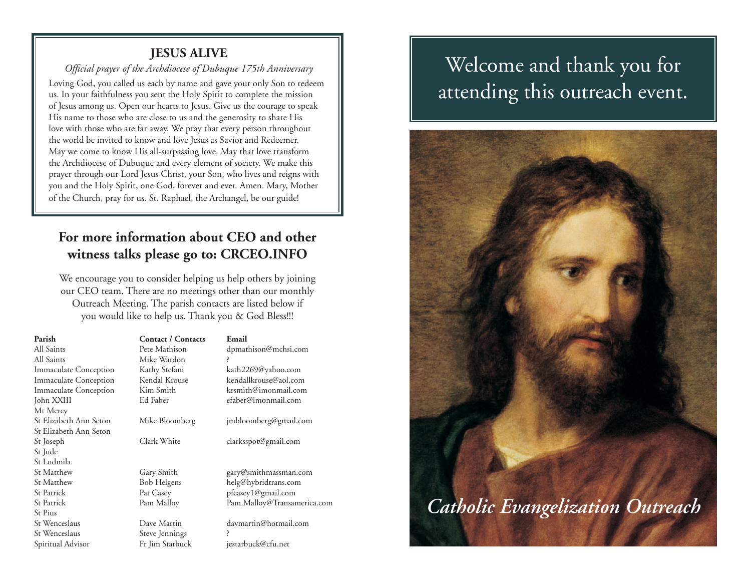## **JESUS ALIVE**

*Official prayer of the Archdiocese of Dubuque 175th Anniversary*

Loving God, you called us each by name and gave your only Son to redeem us. In your faithfulness you sent the Holy Spirit to complete the mission of Jesus among us. Open our hearts to Jesus. Give us the courage to speak His name to those who are close to us and the generosity to share His love with those who are far away. We pray that every person throughout the world be invited to know and love Jesus as Savior and Redeemer. May we come to know His all-surpassing love. May that love transform the Archdiocese of Dubuque and every element of society. We make this prayer through our Lord Jesus Christ, your Son, who lives and reigns with you and the Holy Spirit, one God, forever and ever. Amen. Mary, Mother of the Church, pray for us. St. Raphael, the Archangel, be our guide!

## **For more information about CEO and other witness talks please go to: CRCEO.INFO**

We encourage you to consider helping us help others by joining our CEO team. There are no meetings other than our monthly Outreach Meeting. The parish contacts are listed below if you would like to help us. Thank you & God Bless!!!

| Parish                       | <b>Contact / Contacts</b> | Email                       |
|------------------------------|---------------------------|-----------------------------|
| All Saints                   | Pete Mathison             | dpmathison@mchsi.com        |
| All Saints                   | Mike Wardon               | ?                           |
| <b>Immaculate Conception</b> | Kathy Stefani             | kath2269@yahoo.com          |
| Immaculate Conception        | Kendal Krouse             | kendallkrouse@aol.com       |
| <b>Immaculate Conception</b> | Kim Smith                 | krsmith@imonmail.com        |
| John XXIII                   | Ed Faber                  | efaber@imonmail.com         |
| Mt Mercy                     |                           |                             |
| St Elizabeth Ann Seton       | Mike Bloomberg            | jmbloomberg@gmail.com       |
| St Elizabeth Ann Seton       |                           |                             |
| St Joseph                    | Clark White               | clarksspot@gmail.com        |
| St Jude                      |                           |                             |
| St Ludmila                   |                           |                             |
| St Matthew                   | Gary Smith                | gary@smithmassman.com       |
| <b>St Matthew</b>            | Bob Helgens               | helg@hybridtrans.com        |
| St Patrick                   | Pat Casey                 | pfcasey1@gmail.com          |
| St Patrick                   | Pam Malloy                | Pam.Malloy@Transamerica.com |
| St Pius                      |                           |                             |
| St Wenceslaus                | Dave Martin               | davmartin@hotmail.com       |
| St Wenceslaus                | Steve Jennings            | Ś.                          |
| Spiritual Advisor            | Fr Iim Starbuck           | iestarbuck@cfu.net          |

# Welcome and thank you for attending this outreach event.